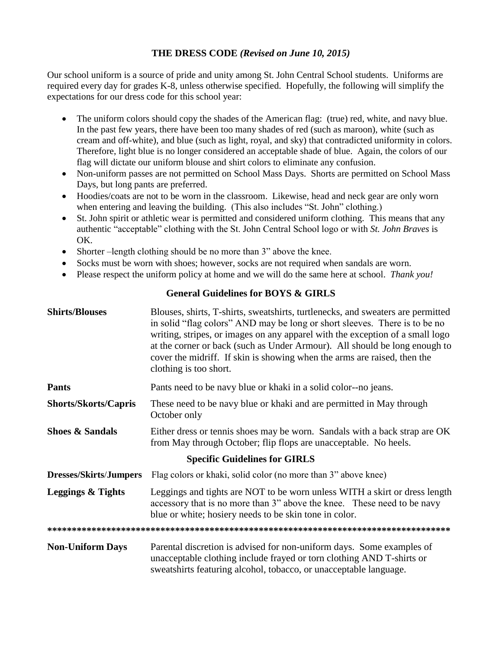## **THE DRESS CODE** *(Revised on June 10, 2015)*

Our school uniform is a source of pride and unity among St. John Central School students. Uniforms are required every day for grades K-8, unless otherwise specified. Hopefully, the following will simplify the expectations for our dress code for this school year:

- The uniform colors should copy the shades of the American flag: (true) red, white, and navy blue. In the past few years, there have been too many shades of red (such as maroon), white (such as cream and off-white), and blue (such as light, royal, and sky) that contradicted uniformity in colors. Therefore, light blue is no longer considered an acceptable shade of blue. Again, the colors of our flag will dictate our uniform blouse and shirt colors to eliminate any confusion.
- Non-uniform passes are not permitted on School Mass Days. Shorts are permitted on School Mass Days, but long pants are preferred.
- Hoodies/coats are not to be worn in the classroom. Likewise, head and neck gear are only worn when entering and leaving the building. (This also includes "St. John" clothing.)
- St. John spirit or athletic wear is permitted and considered uniform clothing. This means that any authentic "acceptable" clothing with the St. John Central School logo or with *St. John Braves* is OK.
- Shorter –length clothing should be no more than 3" above the knee.
- Socks must be worn with shoes; however, socks are not required when sandals are worn.
- Please respect the uniform policy at home and we will do the same here at school. *Thank you!*

## **General Guidelines for BOYS & GIRLS**

| <b>Shirts/Blouses</b>                | Blouses, shirts, T-shirts, sweatshirts, turtlenecks, and sweaters are permitted<br>in solid "flag colors" AND may be long or short sleeves. There is to be no<br>writing, stripes, or images on any apparel with the exception of a small logo<br>at the corner or back (such as Under Armour). All should be long enough to<br>cover the midriff. If skin is showing when the arms are raised, then the<br>clothing is too short. |
|--------------------------------------|------------------------------------------------------------------------------------------------------------------------------------------------------------------------------------------------------------------------------------------------------------------------------------------------------------------------------------------------------------------------------------------------------------------------------------|
| <b>Pants</b>                         | Pants need to be navy blue or khaki in a solid color--no jeans.                                                                                                                                                                                                                                                                                                                                                                    |
| <b>Shorts/Skorts/Capris</b>          | These need to be navy blue or khaki and are permitted in May through<br>October only                                                                                                                                                                                                                                                                                                                                               |
| <b>Shoes &amp; Sandals</b>           | Either dress or tennis shoes may be worn. Sandals with a back strap are OK<br>from May through October; flip flops are unacceptable. No heels.                                                                                                                                                                                                                                                                                     |
| <b>Specific Guidelines for GIRLS</b> |                                                                                                                                                                                                                                                                                                                                                                                                                                    |
| <b>Dresses/Skirts/Jumpers</b>        | Flag colors or khaki, solid color (no more than 3" above knee)                                                                                                                                                                                                                                                                                                                                                                     |
| <b>Leggings &amp; Tights</b>         | Leggings and tights are NOT to be worn unless WITH a skirt or dress length<br>accessory that is no more than 3" above the knee. These need to be navy<br>blue or white; hosiery needs to be skin tone in color.                                                                                                                                                                                                                    |
|                                      |                                                                                                                                                                                                                                                                                                                                                                                                                                    |
| <b>Non-Uniform Days</b>              | Parental discretion is advised for non-uniform days. Some examples of<br>unacceptable clothing include frayed or torn clothing AND T-shirts or<br>sweatshirts featuring alcohol, tobacco, or unacceptable language.                                                                                                                                                                                                                |